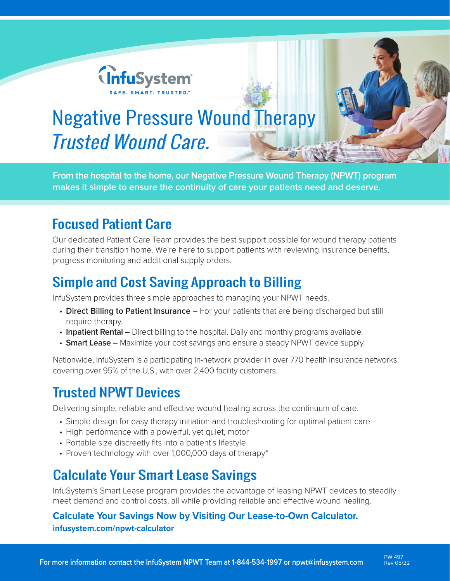

# Negative Pressure Wound Therapy Trusted Wound Care.

**From the hospital to the home, our Negative Pressure Wound Therapy (NPWT) program makes it simple to ensure the continuity of care your patients need and deserve.**

### Focused Patient Care

Our dedicated Patient Care Team provides the best support possible for wound therapy patients during their transition home. We're here to support patients with reviewing insurance benefits, progress monitoring and additional supply orders.

### Simple and Cost Saving Approach to Billing

InfuSystem provides three simple approaches to managing your NPWT needs.

- **Direct Billing to Patient Insurance** For your patients that are being discharged but still require therapy.
- **Inpatient Rental** Direct billing to the hospital. Daily and monthly programs available.
- **Smart Lease** Maximize your cost savings and ensure a steady NPWT device supply.

Nationwide, InfuSystem is a participating in-network provider in over 770 health insurance networks covering over 95% of the U.S., with over 2,400 facility customers.

#### Trusted NPWT Devices

Delivering simple, reliable and effective wound healing across the continuum of care.

- Simple design for easy therapy initiation and troubleshooting for optimal patient care
- High performance with a powerful, yet quiet, motor
- Portable size discreetly fits into a patient's lifestyle
- Proven technology with over 1,000,000 days of therapy\*

#### Calculate Your Smart Lease Savings

InfuSystem's Smart Lease program provides the advantage of leasing NPWT devices to steadily meet demand and control costs, all while providing reliable and effective wound healing.

#### **Calculate Your Savings Now by Visiting Our Lease-to-Own Calculator. infusystem.com/npwt-calculator**